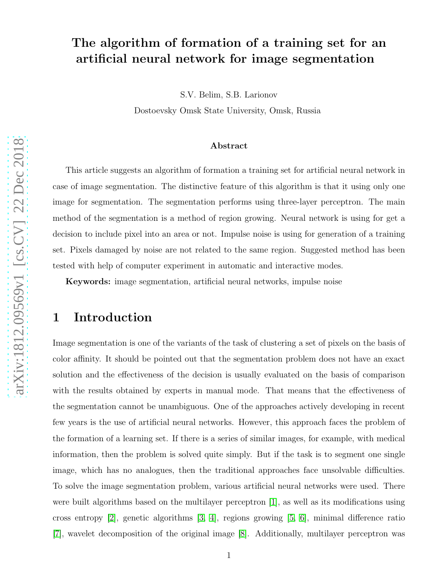# The algorithm of formation of a training set for an artificial neural network for image segmentation

S.V. Belim, S.B. Larionov

Dostoevsky Omsk State University, Omsk, Russia

#### Abstract

This article suggests an algorithm of formation a training set for artificial neural network in case of image segmentation. The distinctive feature of this algorithm is that it using only one image for segmentation. The segmentation performs using three-layer perceptron. The main method of the segmentation is a method of region growing. Neural network is using for get a decision to include pixel into an area or not. Impulse noise is using for generation of a training set. Pixels damaged by noise are not related to the same region. Suggested method has been tested with help of computer experiment in automatic and interactive modes.

Keywords: image segmentation, artificial neural networks, impulse noise

#### 1 Introduction

Image segmentation is one of the variants of the task of clustering a set of pixels on the basis of color affinity. It should be pointed out that the segmentation problem does not have an exact solution and the effectiveness of the decision is usually evaluated on the basis of comparison with the results obtained by experts in manual mode. That means that the effectiveness of the segmentation cannot be unambiguous. One of the approaches actively developing in recent few years is the use of artificial neural networks. However, this approach faces the problem of the formation of a learning set. If there is a series of similar images, for example, with medical information, then the problem is solved quite simply. But if the task is to segment one single image, which has no analogues, then the traditional approaches face unsolvable difficulties. To solve the image segmentation problem, various artificial neural networks were used. There were built algorithms based on the multilayer perceptron [\[1\]](#page-4-0), as well as its modifications using cross entropy [\[2\]](#page-4-1), genetic algorithms [\[3,](#page-4-2) [4\]](#page-4-3), regions growing [\[5,](#page-4-4) [6\]](#page-5-0), minimal difference ratio [\[7\]](#page-5-1), wavelet decomposition of the original image [\[8\]](#page-5-2). Additionally, multilayer perceptron was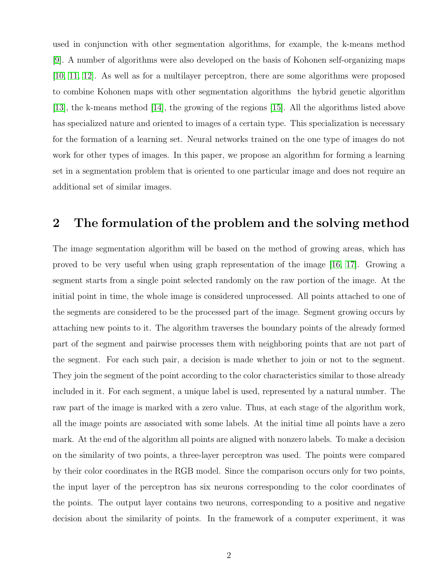used in conjunction with other segmentation algorithms, for example, the k-means method [\[9\]](#page-5-3). A number of algorithms were also developed on the basis of Kohonen self-organizing maps [\[10,](#page-5-4) [11,](#page-5-5) [12\]](#page-5-6). As well as for a multilayer perceptron, there are some algorithms were proposed to combine Kohonen maps with other segmentation algorithms the hybrid genetic algorithm [\[13\]](#page-5-7), the k-means method [\[14\]](#page-5-8), the growing of the regions [\[15\]](#page-6-0). All the algorithms listed above has specialized nature and oriented to images of a certain type. This specialization is necessary for the formation of a learning set. Neural networks trained on the one type of images do not work for other types of images. In this paper, we propose an algorithm for forming a learning set in a segmentation problem that is oriented to one particular image and does not require an additional set of similar images.

#### 2 The formulation of the problem and the solving method

The image segmentation algorithm will be based on the method of growing areas, which has proved to be very useful when using graph representation of the image [\[16,](#page-6-1) [17\]](#page-6-2). Growing a segment starts from a single point selected randomly on the raw portion of the image. At the initial point in time, the whole image is considered unprocessed. All points attached to one of the segments are considered to be the processed part of the image. Segment growing occurs by attaching new points to it. The algorithm traverses the boundary points of the already formed part of the segment and pairwise processes them with neighboring points that are not part of the segment. For each such pair, a decision is made whether to join or not to the segment. They join the segment of the point according to the color characteristics similar to those already included in it. For each segment, a unique label is used, represented by a natural number. The raw part of the image is marked with a zero value. Thus, at each stage of the algorithm work, all the image points are associated with some labels. At the initial time all points have a zero mark. At the end of the algorithm all points are aligned with nonzero labels. To make a decision on the similarity of two points, a three-layer perceptron was used. The points were compared by their color coordinates in the RGB model. Since the comparison occurs only for two points, the input layer of the perceptron has six neurons corresponding to the color coordinates of the points. The output layer contains two neurons, corresponding to a positive and negative decision about the similarity of points. In the framework of a computer experiment, it was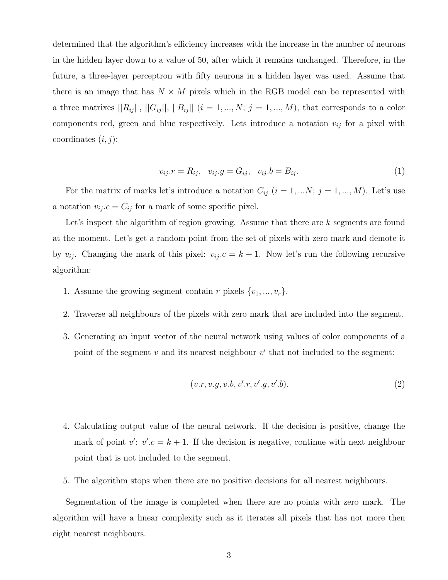determined that the algorithm's efficiency increases with the increase in the number of neurons in the hidden layer down to a value of 50, after which it remains unchanged. Therefore, in the future, a three-layer perceptron with fifty neurons in a hidden layer was used. Assume that there is an image that has  $N \times M$  pixels which in the RGB model can be represented with a three matrixes  $||R_{ij}||, ||G_{ij}||, ||B_{ij}||$   $(i = 1, ..., N; j = 1, ..., M)$ , that corresponds to a color components red, green and blue respectively. Lets introduce a notation  $v_{ij}$  for a pixel with coordinates  $(i, j)$ :

$$
v_{ij} \cdot r = R_{ij}, \quad v_{ij} \cdot g = G_{ij}, \quad v_{ij} \cdot b = B_{ij}.\tag{1}
$$

For the matrix of marks let's introduce a notation  $C_{ij}$   $(i = 1, ..., N; j = 1, ..., M)$ . Let's use a notation  $v_{ij}.c = C_{ij}$  for a mark of some specific pixel.

Let's inspect the algorithm of region growing. Assume that there are k segments are found at the moment. Let's get a random point from the set of pixels with zero mark and demote it by  $v_{ij}$ . Changing the mark of this pixel:  $v_{ij}$   $c = k + 1$ . Now let's run the following recursive algorithm:

- 1. Assume the growing segment contain r pixels  $\{v_1, ..., v_r\}$ .
- 2. Traverse all neighbours of the pixels with zero mark that are included into the segment.
- 3. Generating an input vector of the neural network using values of color components of a point of the segment  $v$  and its nearest neighbour  $v'$  that not included to the segment:

$$
(v.r, v.g, v.b, v'.r, v'.g, v'.b). \tag{2}
$$

- 4. Calculating output value of the neural network. If the decision is positive, change the mark of point  $v'$ :  $v'.c = k + 1$ . If the decision is negative, continue with next neighbour point that is not included to the segment.
- 5. The algorithm stops when there are no positive decisions for all nearest neighbours.

Segmentation of the image is completed when there are no points with zero mark. The algorithm will have a linear complexity such as it iterates all pixels that has not more then eight nearest neighbours.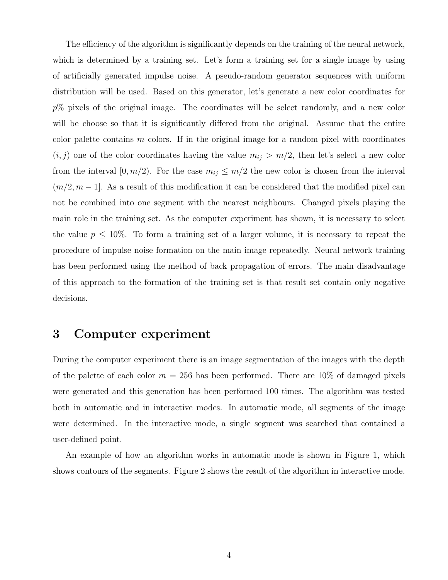The efficiency of the algorithm is significantly depends on the training of the neural network, which is determined by a training set. Let's form a training set for a single image by using of artificially generated impulse noise. A pseudo-random generator sequences with uniform distribution will be used. Based on this generator, let's generate a new color coordinates for  $p\%$  pixels of the original image. The coordinates will be select randomly, and a new color will be choose so that it is significantly differed from the original. Assume that the entire color palette contains  $m$  colors. If in the original image for a random pixel with coordinates  $(i, j)$  one of the color coordinates having the value  $m_{ij} > m/2$ , then let's select a new color from the interval [0,  $m/2$ ). For the case  $m_{ij} \leq m/2$  the new color is chosen from the interval  $(m/2, m-1]$ . As a result of this modification it can be considered that the modified pixel can not be combined into one segment with the nearest neighbours. Changed pixels playing the main role in the training set. As the computer experiment has shown, it is necessary to select the value  $p \leq 10\%$ . To form a training set of a larger volume, it is necessary to repeat the procedure of impulse noise formation on the main image repeatedly. Neural network training has been performed using the method of back propagation of errors. The main disadvantage of this approach to the formation of the training set is that result set contain only negative decisions.

#### 3 Computer experiment

During the computer experiment there is an image segmentation of the images with the depth of the palette of each color  $m = 256$  has been performed. There are 10% of damaged pixels were generated and this generation has been performed 100 times. The algorithm was tested both in automatic and in interactive modes. In automatic mode, all segments of the image were determined. In the interactive mode, a single segment was searched that contained a user-defined point.

An example of how an algorithm works in automatic mode is shown in Figure 1, which shows contours of the segments. Figure 2 shows the result of the algorithm in interactive mode.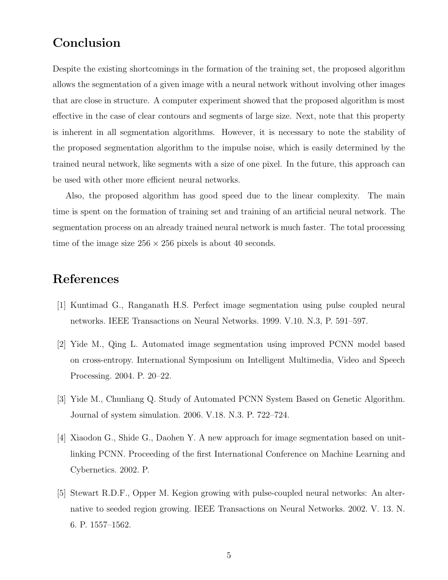## Conclusion

Despite the existing shortcomings in the formation of the training set, the proposed algorithm allows the segmentation of a given image with a neural network without involving other images that are close in structure. A computer experiment showed that the proposed algorithm is most effective in the case of clear contours and segments of large size. Next, note that this property is inherent in all segmentation algorithms. However, it is necessary to note the stability of the proposed segmentation algorithm to the impulse noise, which is easily determined by the trained neural network, like segments with a size of one pixel. In the future, this approach can be used with other more efficient neural networks.

Also, the proposed algorithm has good speed due to the linear complexity. The main time is spent on the formation of training set and training of an artificial neural network. The segmentation process on an already trained neural network is much faster. The total processing time of the image size  $256 \times 256$  pixels is about 40 seconds.

### <span id="page-4-0"></span>References

- <span id="page-4-1"></span>[1] Kuntimad G., Ranganath H.S. Perfect image segmentation using pulse coupled neural networks. IEEE Transactions on Neural Networks. 1999. V.10. N.3, P. 591–597.
- [2] Yide M., Qing L. Automated image segmentation using improved PCNN model based on cross-entropy. International Symposium on Intelligent Multimedia, Video and Speech Processing. 2004. P. 20–22.
- <span id="page-4-3"></span><span id="page-4-2"></span>[3] Yide M., Chunliang Q. Study of Automated PCNN System Based on Genetic Algorithm. Journal of system simulation. 2006. V.18. N.3. P. 722–724.
- [4] Xiaodon G., Shide G., Daohen Y. A new approach for image segmentation based on unitlinking PCNN. Proceeding of the first International Conference on Machine Learning and Cybernetics. 2002. P.
- <span id="page-4-4"></span>[5] Stewart R.D.F., Opper M. Kegion growing with pulse-coupled neural networks: An alternative to seeded region growing. IEEE Transactions on Neural Networks. 2002. V. 13. N. 6. P. 1557–1562.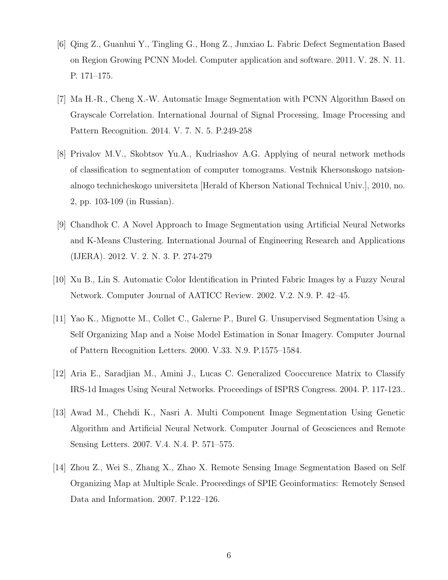- <span id="page-5-1"></span><span id="page-5-0"></span>[6] Qing Z., Guanhui Y., Tingling G., Hong Z., Junxiao L. Fabric Defect Segmentation Based on Region Growing PCNN Model. Computer application and software. 2011. V. 28. N. 11. P. 171–175.
- [7] Ma H.-R., Cheng X.-W. Automatic Image Segmentation with PCNN Algorithm Based on Grayscale Correlation. International Journal of Signal Processing, Image Processing and Pattern Recognition. 2014. V. 7. N. 5. P.249-258
- <span id="page-5-2"></span>[8] Privalov M.V., Skobtsov Yu.A., Kudriashov A.G. Applying of neural network methods of classification to segmentation of computer tomograms. Vestnik Khersonskogo natsionalnogo technicheskogo universiteta [Herald of Kherson National Technical Univ.], 2010, no. 2, pp. 103-109 (in Russian).
- <span id="page-5-3"></span>[9] Chandhok C. A Novel Approach to Image Segmentation using Artificial Neural Networks and K-Means Clustering. International Journal of Engineering Research and Applications (IJERA). 2012. V. 2. N. 3. P. 274-279
- <span id="page-5-5"></span><span id="page-5-4"></span>[10] Xu B., Lin S. Automatic Color Identification in Printed Fabric Images by a Fuzzy Neural Network. Computer Journal of AATICC Review. 2002. V.2. N.9. P. 42–45.
- [11] Yao K., Mignotte M., Collet C., Galerne P., Burel G. Unsupervised Segmentation Using a Self Organizing Map and a Noise Model Estimation in Sonar Imagery. Computer Journal of Pattern Recognition Letters. 2000. V.33. N.9. P.1575–1584.
- <span id="page-5-7"></span><span id="page-5-6"></span>[12] Aria E., Saradjian M., Amini J., Lucas C. Generalized Cooccurence Matrix to Classify IRS-1d Images Using Neural Networks. Proceedings of ISPRS Congress. 2004. P. 117-123..
- [13] Awad M., Chehdi K., Nasri A. Multi Component Image Segmentation Using Genetic Algorithm and Artificial Neural Network. Computer Journal of Geosciences and Remote Sensing Letters. 2007. V.4. N.4. P. 571–575.
- <span id="page-5-8"></span>[14] Zhou Z., Wei S., Zhang X., Zhao X. Remote Sensing Image Segmentation Based on Self Organizing Map at Multiple Scale. Proceedings of SPIE Geoinformatics: Remotely Sensed Data and Information. 2007. P.122–126.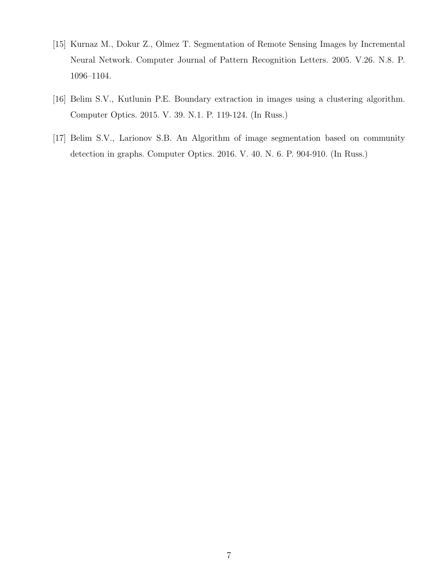- <span id="page-6-0"></span>[15] Kurnaz M., Dokur Z., Olmez T. Segmentation of Remote Sensing Images by Incremental Neural Network. Computer Journal of Pattern Recognition Letters. 2005. V.26. N.8. P. 1096–1104.
- <span id="page-6-2"></span><span id="page-6-1"></span>[16] Belim S.V., Kutlunin P.E. Boundary extraction in images using a clustering algorithm. Computer Optics. 2015. V. 39. N.1. P. 119-124. (In Russ.)
- [17] Belim S.V., Larionov S.B. An Algorithm of image segmentation based on community detection in graphs. Computer Optics. 2016. V. 40. N. 6. P. 904-910. (In Russ.)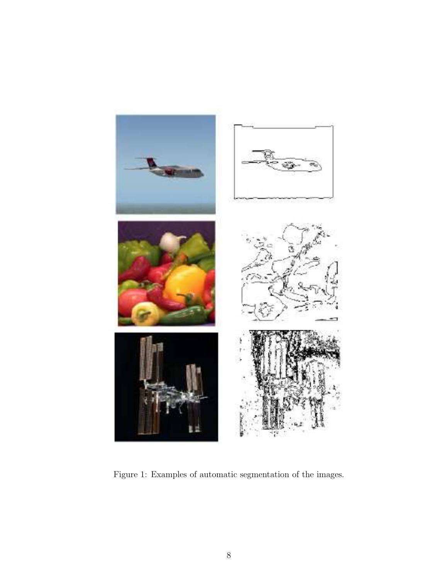

Figure 1: Examples of automatic segmentation of the images.